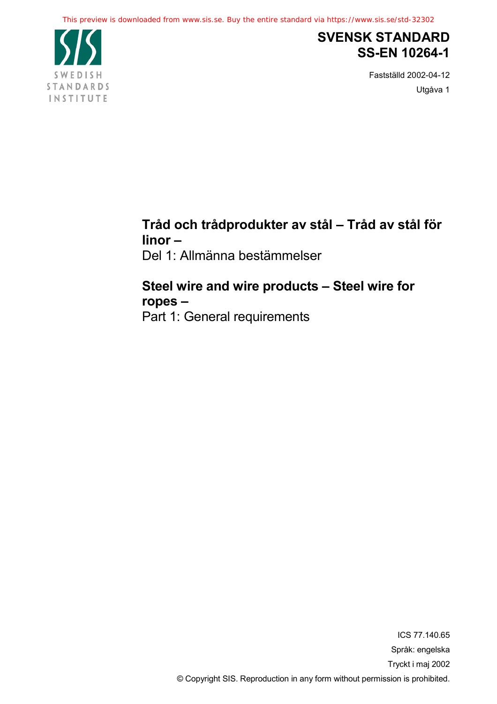

# **SVENSK STANDARD SS-EN 10264-1**

Fastställd 2002-04-12 Utgåva 1

# **Tråd och trådprodukter av stål – Tråd av stål för linor –**

Del 1: Allmänna bestämmelser

## **Steel wire and wire products – Steel wire for ropes –**

Part 1: General requirements

ICS 77.140.65 Språk: engelska Tryckt i maj 2002 © Copyright SIS. Reproduction in any form without permission is prohibited.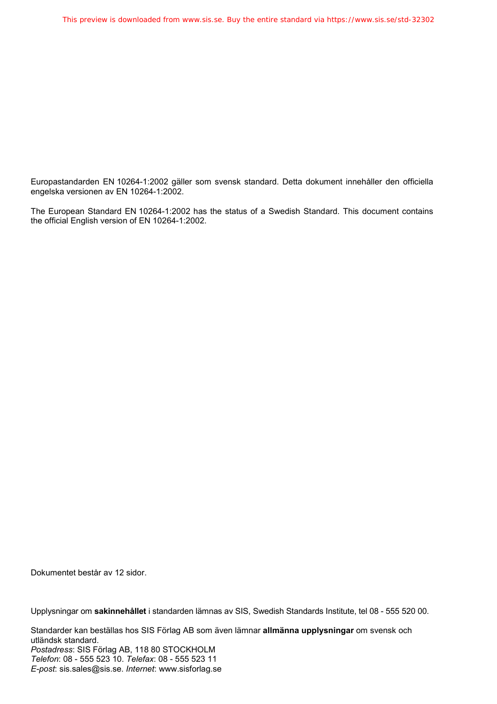Europastandarden EN 10264-1:2002 gäller som svensk standard. Detta dokument innehåller den officiella engelska versionen av EN 10264-1:2002.

The European Standard EN 10264-1:2002 has the status of a Swedish Standard. This document contains the official English version of EN 10264-1:2002.

Dokumentet består av 12 sidor.

Upplysningar om **sakinnehållet** i standarden lämnas av SIS, Swedish Standards Institute, tel 08 - 555 520 00.

Standarder kan beställas hos SIS Förlag AB som även lämnar **allmänna upplysningar** om svensk och utländsk standard. *Postadress*: SIS Förlag AB, 118 80 STOCKHOLM *Telefon*: 08 - 555 523 10. *Telefax*: 08 - 555 523 11 *E-post*: sis.sales@sis.se. *Internet*: www.sisforlag.se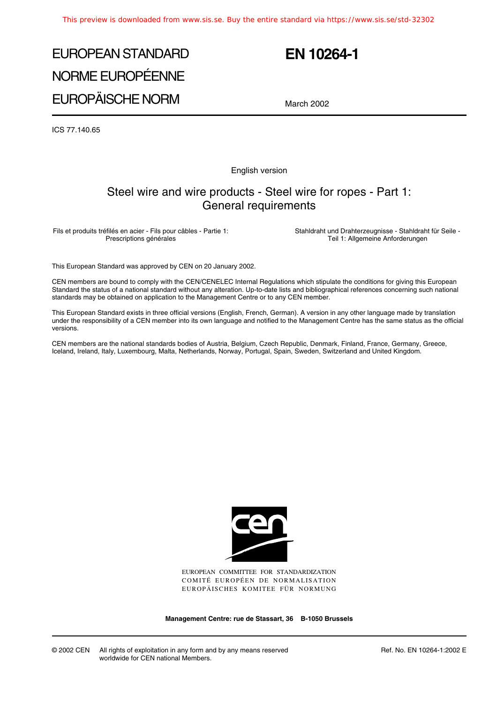# EUROPEAN STANDARD NORME EUROPÉENNE EUROPÄISCHE NORM

# **EN 10264-1**

March 2002

ICS 77.140.65

English version

### Steel wire and wire products - Steel wire for ropes - Part 1: General requirements

Fils et produits tréfilés en acier - Fils pour câbles - Partie 1: Prescriptions générales

Stahldraht und Drahterzeugnisse - Stahldraht für Seile - Teil 1: Allgemeine Anforderungen

This European Standard was approved by CEN on 20 January 2002.

CEN members are bound to comply with the CEN/CENELEC Internal Regulations which stipulate the conditions for giving this European Standard the status of a national standard without any alteration. Up-to-date lists and bibliographical references concerning such national standards may be obtained on application to the Management Centre or to any CEN member.

This European Standard exists in three official versions (English, French, German). A version in any other language made by translation under the responsibility of a CEN member into its own language and notified to the Management Centre has the same status as the official versions.

CEN members are the national standards bodies of Austria, Belgium, Czech Republic, Denmark, Finland, France, Germany, Greece, Iceland, Ireland, Italy, Luxembourg, Malta, Netherlands, Norway, Portugal, Spain, Sweden, Switzerland and United Kingdom.



EUROPEAN COMMITTEE FOR STANDARDIZATION COMITÉ EUROPÉEN DE NORMALISATION EUROPÄISCHES KOMITEE FÜR NORMUNG

**Management Centre: rue de Stassart, 36 B-1050 Brussels**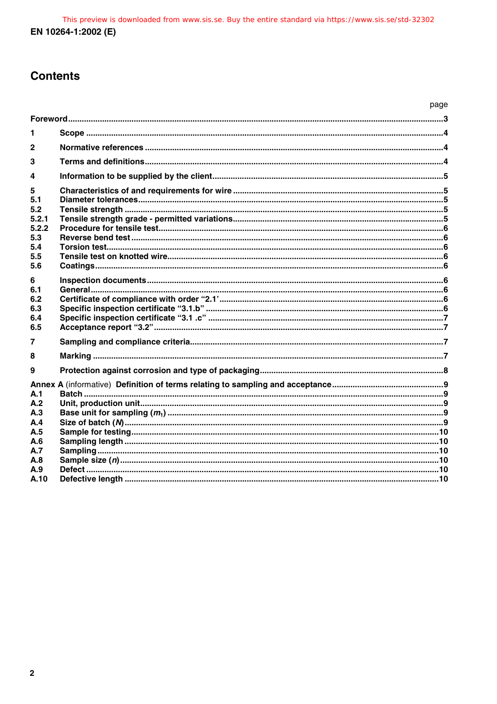## **Contents**

|                                                               |  | page |
|---------------------------------------------------------------|--|------|
|                                                               |  |      |
| 1                                                             |  |      |
| $\mathbf{2}$                                                  |  |      |
| 3                                                             |  |      |
| 4                                                             |  |      |
| 5<br>5.1<br>5.2<br>5.2.1<br>5.2.2<br>5.3<br>5.4<br>5.5<br>5.6 |  |      |
| 6<br>6.1<br>6.2<br>6.3<br>6.4<br>6.5                          |  |      |
| 7                                                             |  |      |
| 8<br>9                                                        |  |      |
| A.1<br>A.2<br>A.3<br>A.4<br>A.5<br>A.6<br>A.7<br>A.8<br>A.9   |  |      |
| A.10                                                          |  |      |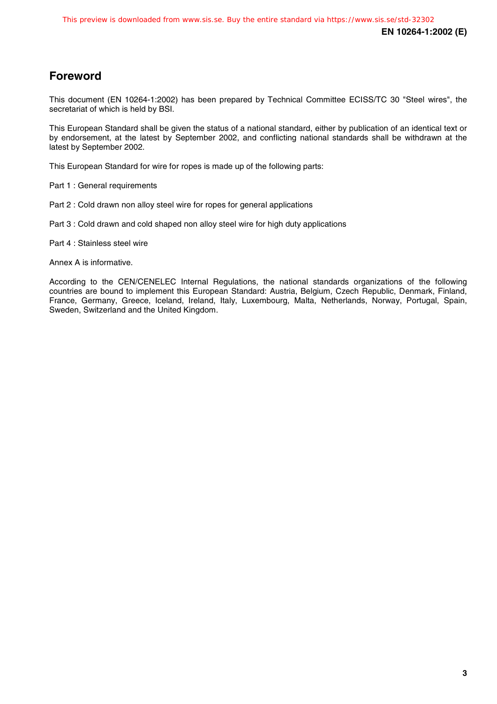## **Foreword**

This document (EN 10264-1:2002) has been prepared by Technical Committee ECISS/TC 30 "Steel wires", the secretariat of which is held by BSI.

This European Standard shall be given the status of a national standard, either by publication of an identical text or by endorsement, at the latest by September 2002, and conflicting national standards shall be withdrawn at the latest by September 2002.

This European Standard for wire for ropes is made up of the following parts:

Part 1 : General requirements

- Part 2 : Cold drawn non alloy steel wire for ropes for general applications
- Part 3 : Cold drawn and cold shaped non alloy steel wire for high duty applications

Part 4 : Stainless steel wire

Annex A is informative.

According to the CEN/CENELEC Internal Regulations, the national standards organizations of the following countries are bound to implement this European Standard: Austria, Belgium, Czech Republic, Denmark, Finland, France, Germany, Greece, Iceland, Ireland, Italy, Luxembourg, Malta, Netherlands, Norway, Portugal, Spain, Sweden, Switzerland and the United Kingdom.